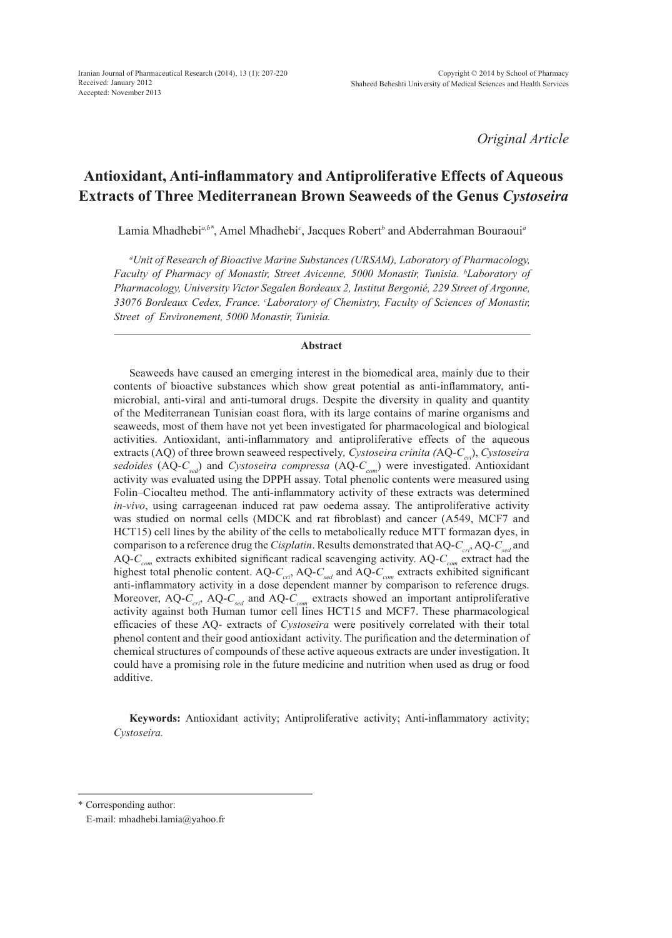*Original Article*

# **Antioxidant, Anti-inflammatory and Antiproliferative Effects of Aqueous Extracts of Three Mediterranean Brown Seaweeds of the Genus** *Cystoseira*

Lamia Mhadhebi*a,b\**, Amel Mhadhebi*<sup>c</sup>* , Jacques Robert*<sup>b</sup>* and Abderrahman Bouraoui*<sup>a</sup>*

*a Unit of Research of Bioactive Marine Substances (URSAM), Laboratory of Pharmacology, Faculty of Pharmacy of Monastir, Street Avicenne, 5000 Monastir, Tunisia. b Laboratory of Pharmacology, University Victor Segalen Bordeaux 2, Institut Bergonié, 229 Street of Argonne, 33076 Bordeaux Cedex, France. c Laboratory of Chemistry, Faculty of Sciences of Monastir, Street of Environement, 5000 Monastir, Tunisia.*

#### **Abstract**

Seaweeds have caused an emerging interest in the biomedical area, mainly due to their contents of bioactive substances which show great potential as anti-inflammatory, antimicrobial, anti-viral and anti-tumoral drugs. Despite the diversity in quality and quantity of the Mediterranean Tunisian coast flora, with its large contains of marine organisms and seaweeds, most of them have not yet been investigated for pharmacological and biological activities. Antioxidant, anti-inflammatory and antiproliferative effects of the aqueous extracts (AQ) of three brown seaweed respectively, *Cystoseira crinita* (AQ-*C<sub>cri</sub>*), *Cystoseira sedoides* (AQ-C<sub>sed</sub>) and *Cystoseira compressa* (AQ-C<sub>com</sub>) were investigated. Antioxidant activity was evaluated using the DPPH assay. Total phenolic contents were measured using Folin–Ciocalteu method. The anti-inflammatory activity of these extracts was determined *in-vivo*, using carrageenan induced rat paw oedema assay. The antiproliferative activity was studied on normal cells (MDCK and rat fibroblast) and cancer (A549, MCF7 and HCT15) cell lines by the ability of the cells to metabolically reduce MTT formazan dyes, in comparison to a reference drug the *Cisplatin*. Results demonstrated that AQ-C<sub>cri</sub>, AQ-C<sub>sed</sub> and AQ-C<sub>com</sub> extracts exhibited significant radical scavenging activity. AQ-C<sub>com</sub> extract had the highest total phenolic content.  $AQ-C_{\text{crit}}$ ,  $AQ-C_{\text{sed}}$  and  $AQ-C_{\text{com}}$  extracts exhibited significant anti-inflammatory activity in a dose dependent manner by comparison to reference drugs. Moreover, AQ-C<sub>cri</sub>, AQ-C<sub>sed</sub> and AQ-C<sub>com</sub> extracts showed an important antiproliferative activity against both Human tumor cell lines HCT15 and MCF7. These pharmacological efficacies of these AQ- extracts of *Cystoseira* were positively correlated with their total phenol content and their good antioxidant activity. The purification and the determination of chemical structures of compounds of these active aqueous extracts are under investigation. It could have a promising role in the future medicine and nutrition when used as drug or food additive.

**Keywords:** Antioxidant activity; Antiproliferative activity; Anti-inflammatory activity; *Cystoseira.*

\* Corresponding author:

E-mail: mhadhebi.lamia@yahoo.fr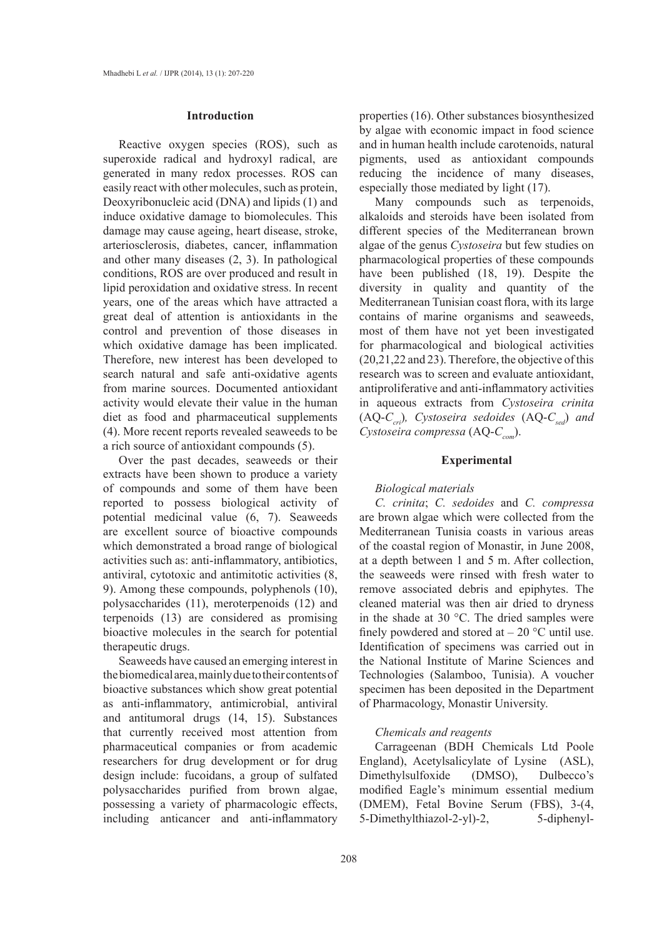#### **Introduction**

Reactive oxygen species (ROS), such as superoxide radical and hydroxyl radical, are generated in many redox processes. ROS can easily react with other molecules, such as protein, Deoxyribonucleic acid (DNA) and lipids (1) and induce oxidative damage to biomolecules. This damage may cause ageing, heart disease, stroke, arteriosclerosis, diabetes, cancer, inflammation and other many diseases (2, 3). In pathological conditions, ROS are over produced and result in lipid peroxidation and oxidative stress. In recent years, one of the areas which have attracted a great deal of attention is antioxidants in the control and prevention of those diseases in which oxidative damage has been implicated. Therefore, new interest has been developed to search natural and safe anti-oxidative agents from marine sources. Documented antioxidant activity would elevate their value in the human diet as food and pharmaceutical supplements (4). More recent reports revealed seaweeds to be a rich source of antioxidant compounds (5).

Over the past decades, seaweeds or their extracts have been shown to produce a variety of compounds and some of them have been reported to possess biological activity of potential medicinal value (6, 7). Seaweeds are excellent source of bioactive compounds which demonstrated a broad range of biological activities such as: anti-inflammatory, antibiotics, antiviral, cytotoxic and antimitotic activities (8, 9). Among these compounds, polyphenols (10), polysaccharides (11), meroterpenoids (12) and terpenoids (13) are considered as promising bioactive molecules in the search for potential therapeutic drugs.

Seaweeds have caused an emerging interest in the biomedical area, mainly due to their contents of bioactive substances which show great potential as anti-inflammatory, antimicrobial, antiviral and antitumoral drugs (14, 15). Substances that currently received most attention from pharmaceutical companies or from academic researchers for drug development or for drug design include: fucoidans, a group of sulfated polysaccharides purified from brown algae, possessing a variety of pharmacologic effects, including anticancer and anti-inflammatory

properties (16). Other substances biosynthesized by algae with economic impact in food science and in human health include carotenoids, natural pigments, used as antioxidant compounds reducing the incidence of many diseases, especially those mediated by light (17).

Many compounds such as terpenoids, alkaloids and steroids have been isolated from different species of the Mediterranean brown algae of the genus *Cystoseira* but few studies on pharmacological properties of these compounds have been published (18, 19). Despite the diversity in quality and quantity of the Mediterranean Tunisian coast flora, with its large contains of marine organisms and seaweeds, most of them have not yet been investigated for pharmacological and biological activities (20,21,22 and 23). Therefore, the objective of this research was to screen and evaluate antioxidant, antiproliferative and anti-inflammatory activities in aqueous extracts from *Cystoseira crinita*  $(AQ-C<sub>cri</sub>)$ *, Cystoseira sedoides*  $(AQ-C<sub>sed</sub>)$  *and Cystoseira compressa* (AQ-C<sub>com</sub>).

# **Experimental**

# *Biological materials*

*C. crinita*; *C. sedoides* and *C. compressa*  are brown algae which were collected from the Mediterranean Tunisia coasts in various areas of the coastal region of Monastir, in June 2008, at a depth between 1 and 5 m. After collection, the seaweeds were rinsed with fresh water to remove associated debris and epiphytes. The cleaned material was then air dried to dryness in the shade at 30 °C. The dried samples were finely powdered and stored at  $-20$  °C until use. Identification of specimens was carried out in the National Institute of Marine Sciences and Technologies (Salamboo, Tunisia). A voucher specimen has been deposited in the Department of Pharmacology, Monastir University.

#### *Chemicals and reagents*

Carrageenan (BDH Chemicals Ltd Poole England), Acetylsalicylate of Lysine (ASL), Dimethylsulfoxide (DMSO), Dulbecco's modified Eagle's minimum essential medium (DMEM), Fetal Bovine Serum (FBS), 3-(4, 5-Dimethylthiazol-2-yl)-2, 5-diphenyl-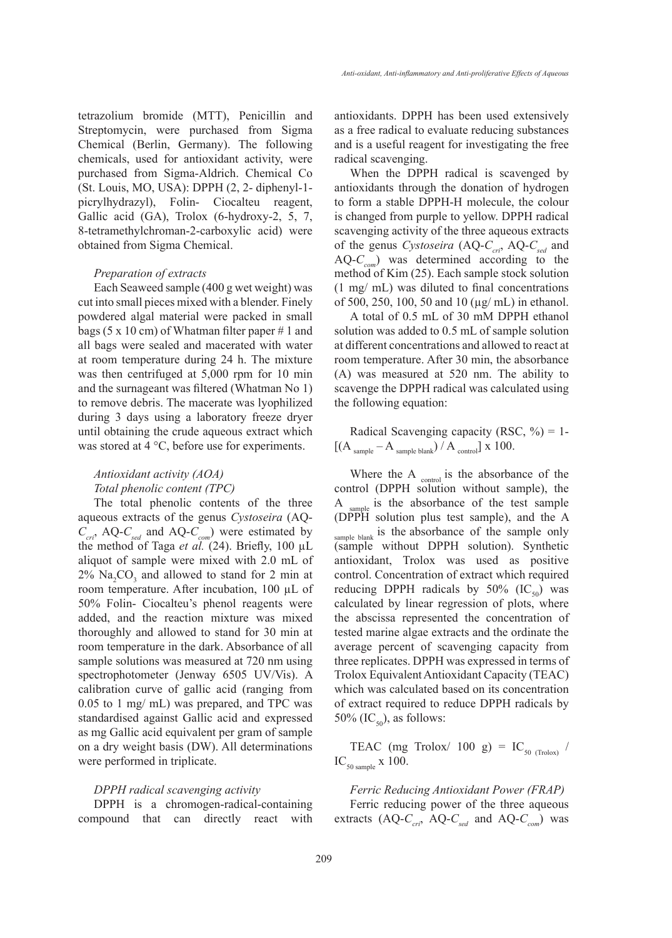tetrazolium bromide (MTT), Penicillin and Streptomycin, were purchased from Sigma Chemical (Berlin, Germany). The following chemicals, used for antioxidant activity, were purchased from Sigma-Aldrich. Chemical Co (St. Louis, MO, USA): DPPH (2, 2- diphenyl-1 picrylhydrazyl), Folin- Ciocalteu reagent, Gallic acid (GA), Trolox (6-hydroxy-2, 5, 7, 8-tetramethylchroman-2-carboxylic acid) were obtained from Sigma Chemical.

#### *Preparation of extracts*

Each Seaweed sample (400 g wet weight) was cut into small pieces mixed with a blender. Finely powdered algal material were packed in small bags (5 x 10 cm) of Whatman filter paper # 1 and all bags were sealed and macerated with water at room temperature during 24 h. The mixture was then centrifuged at 5,000 rpm for 10 min and the surnageant was filtered (Whatman No 1) to remove debris. The macerate was lyophilized during 3 days using a laboratory freeze dryer until obtaining the crude aqueous extract which was stored at 4 °C, before use for experiments.

# *Antioxidant activity (AOA) Total phenolic content (TPC)*

The total phenolic contents of the three aqueous extracts of the genus *Cystoseira* (AQ- $C_{\text{cri}}$ , AQ- $C_{\text{sed}}$  and AQ- $C_{\text{com}}$ ) were estimated by the method of Taga *et al.* (24). Briefly, 100 µL aliquot of sample were mixed with 2.0 mL of  $2\%$  Na<sub>2</sub>CO<sub>3</sub> and allowed to stand for 2 min at room temperature. After incubation, 100 µL of 50% Folin- Ciocalteu's phenol reagents were added, and the reaction mixture was mixed thoroughly and allowed to stand for 30 min at room temperature in the dark. Absorbance of all sample solutions was measured at 720 nm using spectrophotometer (Jenway 6505 UV/Vis). A calibration curve of gallic acid (ranging from 0.05 to 1 mg/ mL) was prepared, and TPC was standardised against Gallic acid and expressed as mg Gallic acid equivalent per gram of sample on a dry weight basis (DW). All determinations were performed in triplicate.

#### *DPPH radical scavenging activity*

DPPH is a chromogen-radical-containing compound that can directly react with antioxidants. DPPH has been used extensively as a free radical to evaluate reducing substances and is a useful reagent for investigating the free radical scavenging.

When the DPPH radical is scavenged by antioxidants through the donation of hydrogen to form a stable DPPH-H molecule, the colour is changed from purple to yellow. DPPH radical scavenging activity of the three aqueous extracts of the genus *Cystoseira* (AQ-C<sub>cri</sub>, AQ-C<sub>sed</sub> and AQ-*Ccom*) was determined according to the method of Kim (25). Each sample stock solution (1 mg/ mL) was diluted to final concentrations of 500, 250, 100, 50 and 10 (µg/ mL) in ethanol.

A total of 0.5 mL of 30 mM DPPH ethanol solution was added to 0.5 mL of sample solution at different concentrations and allowed to react at room temperature. After 30 min, the absorbance (A) was measured at 520 nm. The ability to scavenge the DPPH radical was calculated using the following equation:

Radical Scavenging capacity (RSC,  $\%$ ) = 1- $\left[\left(A_{\text{sample}}-A_{\text{sample blank}}\right)/A_{\text{control}}\right]$  x 100.

Where the A <sub>control</sub> is the absorbance of the control (DPPH solution without sample), the A <sub>sample</sub> is the absorbance of the test sample (DPPH solution plus test sample), and the A sample blank is the absorbance of the sample only (sample without DPPH solution). Synthetic antioxidant, Trolox was used as positive control. Concentration of extract which required reducing DPPH radicals by 50%  $(IC_{50})$  was calculated by linear regression of plots, where the abscissa represented the concentration of tested marine algae extracts and the ordinate the average percent of scavenging capacity from three replicates. DPPH was expressed in terms of Trolox Equivalent Antioxidant Capacity (TEAC) which was calculated based on its concentration of extract required to reduce DPPH radicals by 50% (IC<sub>50</sub>), as follows:

TEAC (mg Trolox/ 100 g) =  $IC_{\text{50 (Trolox)}}$  /  $IC_{\text{50 sample}} \times 100.$ 

*Ferric Reducing Antioxidant Power (FRAP)* Ferric reducing power of the three aqueous extracts  $(AQ-C<sub>cri</sub>)$  AQ- $C<sub>sed</sub>$  and AQ- $C<sub>com</sub>$ ) was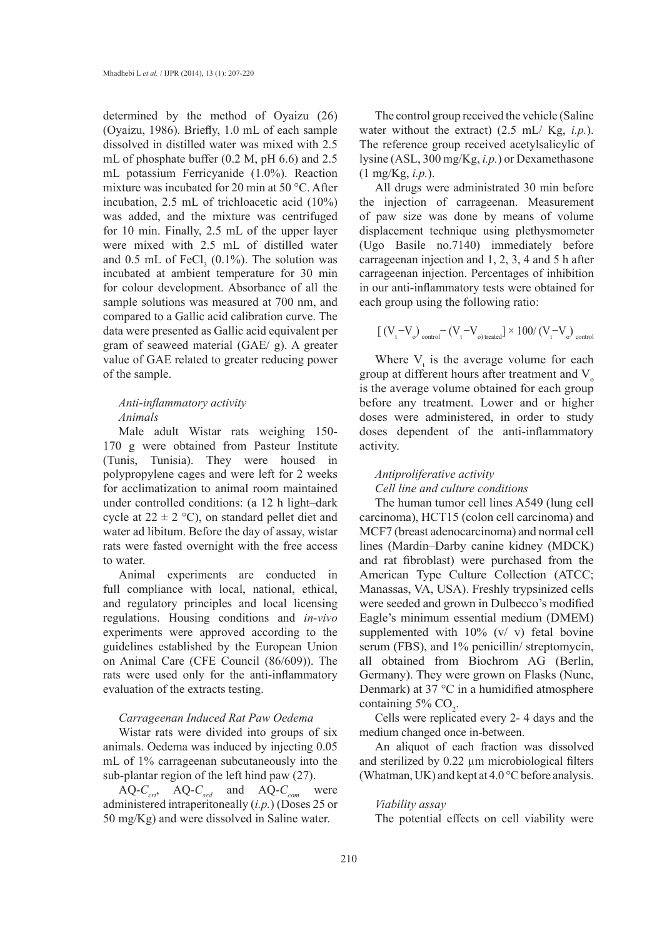determined by the method of Oyaizu (26) (Oyaizu, 1986). Briefly, 1.0 mL of each sample dissolved in distilled water was mixed with 2.5 mL of phosphate buffer (0.2 M, pH 6.6) and 2.5 mL potassium Ferricyanide (1.0%). Reaction mixture was incubated for 20 min at 50 °C. After incubation, 2.5 mL of trichloacetic acid (10%) was added, and the mixture was centrifuged for 10 min. Finally, 2.5 mL of the upper layer were mixed with 2.5 mL of distilled water and  $0.5$  mL of FeCl<sub>3</sub> (0.1%). The solution was incubated at ambient temperature for 30 min for colour development. Absorbance of all the sample solutions was measured at 700 nm, and compared to a Gallic acid calibration curve. The data were presented as Gallic acid equivalent per gram of seaweed material (GAE/ g). A greater value of GAE related to greater reducing power of the sample.

# *Anti-inflammatory activity Animals*

Male adult Wistar rats weighing 150- 170 g were obtained from Pasteur Institute (Tunis, Tunisia). They were housed in polypropylene cages and were left for 2 weeks for acclimatization to animal room maintained under controlled conditions: (a 12 h light–dark cycle at  $22 \pm 2$  °C), on standard pellet diet and water ad libitum. Before the day of assay, wistar rats were fasted overnight with the free access to water.

Animal experiments are conducted in full compliance with local, national, ethical, and regulatory principles and local licensing regulations. Housing conditions and *in-vivo* experiments were approved according to the guidelines established by the European Union on Animal Care (CFE Council (86/609)). The rats were used only for the anti-inflammatory evaluation of the extracts testing.

# *Carrageenan Induced Rat Paw Oedema*

Wistar rats were divided into groups of six animals. Oedema was induced by injecting 0.05 mL of 1% carrageenan subcutaneously into the sub-plantar region of the left hind paw (27).

AQ- $C_{\text{cri}}$ , AQ- $C_{\text{sed}}$  and AQ- $C_{\text{com}}$  were administered intraperitoneally (*i.p.*) (Doses 25 or 50 mg/Kg) and were dissolved in Saline water.

The control group received the vehicle (Saline water without the extract) (2.5 mL/ Kg, *i.p.*). The reference group received acetylsalicylic of lysine (ASL, 300 mg/Kg, *i.p.*) or Dexamethasone (1 mg/Kg, *i.p.*).

All drugs were administrated 30 min before the injection of carrageenan. Measurement of paw size was done by means of volume displacement technique using plethysmometer (Ugo Basile no.7140) immediately before carrageenan injection and 1, 2, 3, 4 and 5 h after carrageenan injection. Percentages of inhibition in our anti-inflammatory tests were obtained for each group using the following ratio:

$$
\left[\right.(V_t - V_o)\right._{\text{control}} - (V_t - V_o)\right.\mathrm{treated}\left.\right] \times 100/\left(V_t - V_o\right)\right.\mathrm{control}
$$

Where  $V_t$  is the average volume for each group at different hours after treatment and  $V<sub>o</sub>$ is the average volume obtained for each group before any treatment. Lower and or higher doses were administered, in order to study doses dependent of the anti-inflammatory activity.

# *Antiproliferative activity Cell line and culture conditions*

The human tumor cell lines A549 (lung cell carcinoma), HCT15 (colon cell carcinoma) and MCF7 (breast adenocarcinoma) and normal cell lines (Mardin–Darby canine kidney (MDCK) and rat fibroblast) were purchased from the American Type Culture Collection (ATCC; Manassas, VA, USA). Freshly trypsinized cells were seeded and grown in Dulbecco's modified Eagle's minimum essential medium (DMEM) supplemented with  $10\%$  (v/ v) fetal bovine serum (FBS), and 1% penicillin/ streptomycin, all obtained from Biochrom AG (Berlin, Germany). They were grown on Flasks (Nunc, Denmark) at 37 °C in a humidified atmosphere containing  $5\%$  CO<sub>2</sub>.

Cells were replicated every 2- 4 days and the medium changed once in-between.

An aliquot of each fraction was dissolved and sterilized by 0.22 µm microbiological filters (Whatman, UK) and kept at 4.0 °C before analysis.

#### *Viability assay*

The potential effects on cell viability were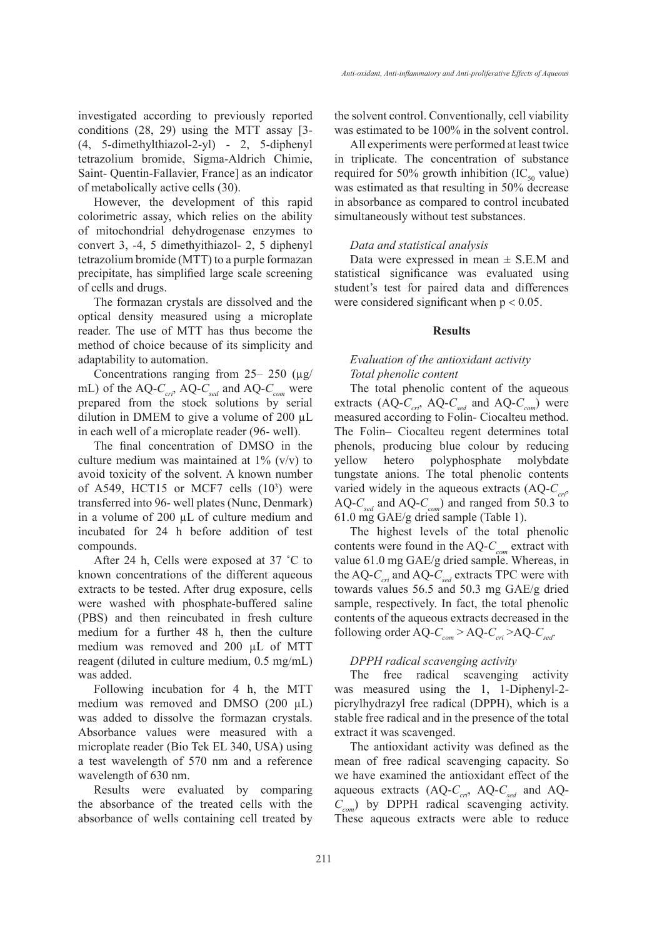investigated according to previously reported conditions (28, 29) using the MTT assay [3- (4, 5-dimethylthiazol-2-yl) - 2, 5-diphenyl tetrazolium bromide, Sigma-Aldrich Chimie, Saint- Quentin-Fallavier, France] as an indicator of metabolically active cells (30).

However, the development of this rapid colorimetric assay, which relies on the ability of mitochondrial dehydrogenase enzymes to convert 3, -4, 5 dimethyithiazol- 2, 5 diphenyl tetrazolium bromide (MTT) to a purple formazan precipitate, has simplified large scale screening of cells and drugs.

The formazan crystals are dissolved and the optical density measured using a microplate reader. The use of MTT has thus become the method of choice because of its simplicity and adaptability to automation.

Concentrations ranging from  $25-250 \text{ (µg/}$ mL) of the AQ-C<sub>cri</sub>, AQ-C<sub>sed</sub> and AQ-C<sub>com</sub> were prepared from the stock solutions by serial dilution in DMEM to give a volume of 200 µL in each well of a microplate reader (96- well).

The final concentration of DMSO in the culture medium was maintained at  $1\%$  (v/v) to avoid toxicity of the solvent. A known number of A549, HCT15 or MCF7 cells  $(10^3)$  were transferred into 96- well plates (Nunc, Denmark) in a volume of 200 µL of culture medium and incubated for 24 h before addition of test compounds.

After 24 h, Cells were exposed at 37 ˚C to known concentrations of the different aqueous extracts to be tested. After drug exposure, cells were washed with phosphate-buffered saline (PBS) and then reincubated in fresh culture medium for a further 48 h, then the culture medium was removed and 200 µL of MTT reagent (diluted in culture medium, 0.5 mg/mL) was added.

Following incubation for 4 h, the MTT medium was removed and DMSO  $(200 \mu L)$ was added to dissolve the formazan crystals. Absorbance values were measured with a microplate reader (Bio Tek EL 340, USA) using a test wavelength of 570 nm and a reference wavelength of 630 nm.

Results were evaluated by comparing the absorbance of the treated cells with the absorbance of wells containing cell treated by

the solvent control. Conventionally, cell viability was estimated to be 100% in the solvent control.

All experiments were performed at least twice in triplicate. The concentration of substance required for 50% growth inhibition  $(IC_{50}$  value) was estimated as that resulting in 50% decrease in absorbance as compared to control incubated simultaneously without test substances.

### *Data and statistical analysis*

Data were expressed in mean  $\pm$  S.E.M and statistical significance was evaluated using student's test for paired data and differences were considered significant when  $p < 0.05$ .

#### **Results**

# *Evaluation of the antioxidant activity Total phenolic content*

The total phenolic content of the aqueous extracts  $(AQ-C<sub>cri</sub>, AQ-C<sub>sed</sub>$  and  $AQ-C<sub>com</sub>$ ) were measured according to Folin- Ciocalteu method. The Folin– Ciocalteu regent determines total phenols, producing blue colour by reducing yellow hetero polyphosphate molybdate tungstate anions. The total phenolic contents varied widely in the aqueous extracts  $(AQ-C<sub>cri</sub>)$ AQ- $C_{\text{sed}}$  and AQ- $C_{\text{com}}$ ) and ranged from 50.3 to 61.0 mg GAE/g dried sample (Table 1).

The highest levels of the total phenolic contents were found in the AQ- $C_{\text{com}}$  extract with value 61.0 mg GAE/g dried sample. Whereas, in the AQ- $C_{\text{cri}}$  and AQ- $C_{\text{sed}}$  extracts TPC were with towards values 56.5 and 50.3 mg GAE/g dried sample, respectively. In fact, the total phenolic contents of the aqueous extracts decreased in the following order  $AQ-C_{com} > AQ-C_{cri} > AQ-C_{sed}$ .

### *DPPH radical scavenging activity*

The free radical scavenging activity was measured using the 1, 1-Diphenyl-2 picrylhydrazyl free radical (DPPH), which is a stable free radical and in the presence of the total extract it was scavenged.

The antioxidant activity was defined as the mean of free radical scavenging capacity. So we have examined the antioxidant effect of the aqueous extracts  $(AQ-C<sub>cri</sub>, AQ-C<sub>sed</sub>$  and AQ-*Ccom*) by DPPH radical scavenging activity. These aqueous extracts were able to reduce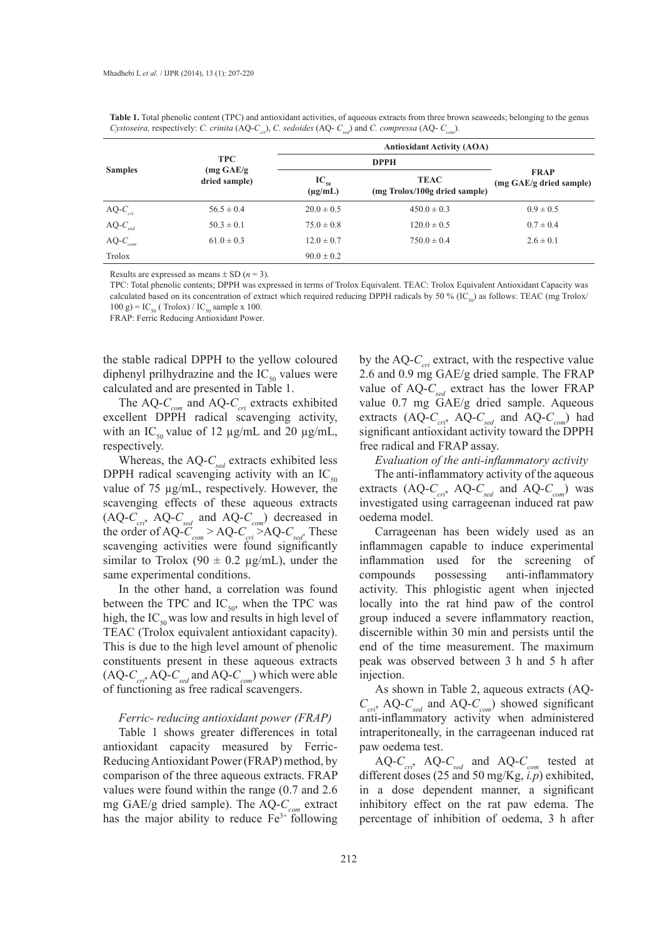| <b>Samples</b> | <b>TPC</b><br>$(mg \text{ GAE/g})$<br>dried sample) | <b>Antioxidant Activity (AOA)</b> |                                              |                                        |  |  |  |
|----------------|-----------------------------------------------------|-----------------------------------|----------------------------------------------|----------------------------------------|--|--|--|
|                |                                                     |                                   |                                              |                                        |  |  |  |
|                |                                                     | $IC_{50}$<br>$(\mu g/mL)$         | <b>TEAC</b><br>(mg Trolox/100g dried sample) | <b>FRAP</b><br>(mg GAE/g dried sample) |  |  |  |
| $AQ-C_{cri}$   | $56.5 \pm 0.4$                                      | $20.0 \pm 0.5$                    | $450.0 \pm 0.3$                              | $0.9 \pm 0.5$                          |  |  |  |
| $AQ-C_{sed}$   | $50.3 \pm 0.1$                                      | $75.0 \pm 0.8$                    | $120.0 \pm 0.5$                              | $0.7 \pm 0.4$                          |  |  |  |
| $AQ-C_{com}$   | $61.0 \pm 0.3$                                      | $12.0 \pm 0.7$                    | $750.0 \pm 0.4$                              | $2.6 \pm 0.1$                          |  |  |  |
| Trolox         |                                                     | $90.0 \pm 0.2$                    |                                              |                                        |  |  |  |

Table 1. Total phenolic content (TPC) and antioxidant activities, of aqueous extracts from three brown seaweeds; belonging to the genus *Cystoseira,* respectively: *C. crinita* (AQ-*Ccri*), *C. sedoides* (AQ- *Csed*) and *C. compressa* (AQ- *Ccom*).

Results are expressed as means  $\pm$  SD ( $n = 3$ ).

TPC: Total phenolic contents; DPPH was expressed in terms of Trolox Equivalent. TEAC: Trolox Equivalent Antioxidant Capacity was calculated based on its concentration of extract which required reducing DPPH radicals by 50 % (IC<sub>50</sub>) as follows: TEAC (mg Trolox/  $100 \text{ g}$ ) = IC<sub>50</sub> (Trolox) / IC<sub>50</sub> sample x 100.

FRAP: Ferric Reducing Antioxidant Power.

the stable radical DPPH to the yellow coloured diphenyl prilhydrazine and the  $IC_{50}$  values were calculated and are presented in Table 1.

The AQ- $C_{_{com}}$  and AQ- $C_{_{cri}}$  extracts exhibited excellent DPPH radical scavenging activity, with an IC<sub>50</sub> value of 12  $\mu$ g/mL and 20  $\mu$ g/mL, respectively.

Whereas, the AQ- $C_{\text{sed}}$  extracts exhibited less DPPH radical scavenging activity with an  $IC_{50}$ value of 75 µg/mL, respectively. However, the scavenging effects of these aqueous extracts  $(AQ-C<sub>cri</sub>, AQ-C<sub>sed</sub>$  and  $AQ-C<sub>com</sub>$ ) decreased in the order of  $AQ-C_{com} > AQ-C_{cri} > AQ-C_{sed}$ . These scavenging activities were found significantly similar to Trolox (90  $\pm$  0.2 µg/mL), under the same experimental conditions.

In the other hand, a correlation was found between the TPC and  $IC_{50}$ , when the TPC was high, the  $IC_{50}$  was low and results in high level of TEAC (Trolox equivalent antioxidant capacity). This is due to the high level amount of phenolic constituents present in these aqueous extracts  $(AQ-C<sub>cr</sub>, AQ-C<sub>sed</sub>$  and  $AQ-C<sub>com</sub>$ ) which were able of functioning as free radical scavengers.

#### *Ferric- reducing antioxidant power (FRAP)*

Table 1 shows greater differences in total antioxidant capacity measured by Ferric-Reducing Antioxidant Power (FRAP) method, by comparison of the three aqueous extracts. FRAP values were found within the range (0.7 and 2.6 mg GAE/g dried sample). The AQ-C<sub>com</sub> extract has the major ability to reduce  $Fe<sup>3+</sup>$  following by the AQ- $C_{\text{crit}}$  extract, with the respective value 2.6 and 0.9 mg GAE/g dried sample. The FRAP value of  $AQ-C_{\text{sed}}$  extract has the lower FRAP value 0.7 mg GAE/g dried sample. Aqueous extracts (AQ-C<sub>cri</sub>, AQ-C<sub>sed</sub> and AQ-C<sub>com</sub>) had significant antioxidant activity toward the DPPH free radical and FRAP assay.

*Evaluation of the anti-inflammatory activity*

The anti-inflammatory activity of the aqueous extracts  $(AQ-C<sub>cri</sub>, AQ-C<sub>sed</sub>$  and  $AQ-C<sub>com</sub>$ ) was investigated using carrageenan induced rat paw oedema model.

Carrageenan has been widely used as an inflammagen capable to induce experimental inflammation used for the screening of compounds possessing anti-inflammatory activity. This phlogistic agent when injected locally into the rat hind paw of the control group induced a severe inflammatory reaction, discernible within 30 min and persists until the end of the time measurement. The maximum peak was observed between 3 h and 5 h after injection.

As shown in Table 2, aqueous extracts (AQ- $C_{\text{cri}}$ , AQ- $C_{\text{sed}}$  and AQ- $C_{\text{com}}$ ) showed significant anti-inflammatory activity when administered intraperitoneally, in the carrageenan induced rat paw oedema test.

AQ- $C_{\text{cr}i}$ , AQ- $C_{\text{sed}}$  and AQ- $C_{\text{com}}$  tested at different doses (25 and 50 mg/Kg, *i.p*) exhibited, in a dose dependent manner, a significant inhibitory effect on the rat paw edema. The percentage of inhibition of oedema, 3 h after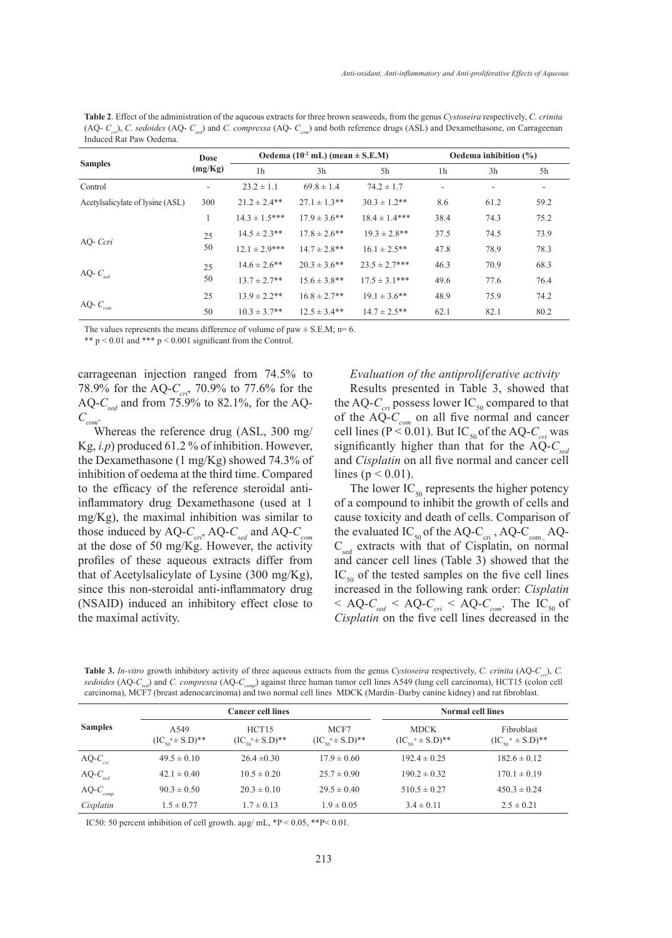**Table 2**. Effect of the administration of the aqueous extracts for three brown seaweeds, from the genus *Cystoseira* respectively, *C. crinita* (AQ- *Ccri*), *C. sedoides* (AQ- *Csed*) and *C. compressa* (AQ- *Ccom*) and both reference drugs (ASL) and Dexamethasone, on Carrageenan Induced Rat Paw Oedema.

|                                  | Dose    | Oedema $(10-2 mL)$ (mean $\pm$ S.E.M) |                   |                    | Oedema inhibition $(\%)$ |      |      |
|----------------------------------|---------|---------------------------------------|-------------------|--------------------|--------------------------|------|------|
| <b>Samples</b>                   | (mg/Kg) | 1 <sub>h</sub>                        | 3h                | 5h                 | 1 <sub>h</sub>           | 3h   | 5h   |
| Control                          |         | $23.2 \pm 1.1$                        | $69.8 \pm 1.4$    | $74.2 \pm 1.7$     |                          |      |      |
| Acetylsalicylate of lysine (ASL) | 300     | $21.2 \pm 2.4**$                      | $27.1 \pm 1.3**$  | $30.3 \pm 1.2$ **  | 8.6                      | 61.2 | 59.2 |
|                                  |         | $14.3 \pm 1.5***$                     | $17.9 \pm 3.6$ ** | $18.4 \pm 1.4$ *** | 38.4                     | 74.3 | 75.2 |
|                                  | 25      | $14.5 \pm 2.3$ **                     | $17.8 \pm 2.6$ ** | $19.3 \pm 2.8$ **  | 37.5                     | 74.5 | 73.9 |
| AQ- Ccri                         | 50      | $12.1 \pm 2.9$ ***                    | $14.7 \pm 2.8$ ** | $16.1 \pm 2.5$ **  | 47.8                     | 78.9 | 78.3 |
|                                  | 25      | $14.6 \pm 2.6$ **                     | $20.3 \pm 3.6$ ** | $23.5 \pm 2.7***$  | 46.3                     | 70.9 | 68.3 |
| AQ- $C_{\text{sed}}$             | 50      | $13.7 \pm 2.7**$                      | $15.6 \pm 3.8$ ** | $17.5 \pm 3.1***$  | 49.6                     | 77.6 | 76.4 |
|                                  | 25      | $13.9 \pm 2.2$ **                     | $16.8 \pm 2.7**$  | $19.1 \pm 3.6$ **  | 48.9                     | 75.9 | 74.2 |
| AQ- $C$<br>com                   | 50      | $10.3 \pm 3.7**$                      | $12.5 \pm 3.4**$  | $14.7 \pm 2.5$ **  | 62.1                     | 82.1 | 80.2 |

The values represents the means difference of volume of paw  $\pm$  S.E.M; n= 6.

\*\*  $p < 0.01$  and \*\*\*  $p < 0.001$  significant from the Control.

carrageenan injection ranged from 74.5% to 78.9% for the AQ-C<sub>cri</sub>, 70.9% to 77.6% for the AQ- $C_{\text{sed}}$  and from 75.9% to 82.1%, for the AQ- $C_{_{com}}$ .

Whereas the reference drug (ASL, 300 mg/ Kg, *i.p*) produced 61.2 % of inhibition. However, the Dexamethasone (1 mg/Kg) showed 74.3% of inhibition of oedema at the third time. Compared to the efficacy of the reference steroidal antiinflammatory drug Dexamethasone (used at 1 mg/Kg), the maximal inhibition was similar to those induced by AQ-C<sub>cri</sub>, AQ-C<sub>sed</sub> and AQ-C<sub>com</sub> at the dose of 50 mg/Kg. However, the activity profiles of these aqueous extracts differ from that of Acetylsalicylate of Lysine (300 mg/Kg), since this non-steroidal anti-inflammatory drug (NSAID) induced an inhibitory effect close to the maximal activity.

# *Evaluation of the antiproliferative activity*

Results presented in Table 3, showed that the AQ- $C_{\text{cri}}$  possess lower IC<sub>50</sub> compared to that of the  $AQ-C_{com}$  on all five normal and cancer cell lines ( $P < 0.01$ ). But IC<sub>50</sub> of the AQ- $C_{\text{crit}}$  was significantly higher than that for the AQ-C<sub>se</sub> and *Cisplatin* on all five normal and cancer cell lines ( $p < 0.01$ ).

The lower  $IC_{50}$  represents the higher potency of a compound to inhibit the growth of cells and cause toxicity and death of cells. Comparison of the evaluated  $IC_{50}$  of the AQ-C<sub>cri</sub>, AQ-C<sub>com,</sub> AQ- $C_{\text{sed}}$  extracts with that of Cisplatin, on normal and cancer cell lines (Table 3) showed that the  $IC_{50}$  of the tested samples on the five cell lines increased in the following rank order: *Cisplatin*   $<$  AQ- $C_{\text{red}}$  < AQ- $C_{\text{cri}}$  < AQ- $C_{\text{com}}$ . The IC<sub>50</sub> of *Cisplatin* on the five cell lines decreased in the

**Table 3.** *In-vitro* growth inhibitory activity of three aqueous extracts from the genus *Cystoseira* respectively, *C. crinita* (AQ-*Ccri*), *C. sedoides* (AQ-*Csed*) and *C. compressa* (AQ-*Ccomp*) against three human tumor cell lines A549 (lung cell carcinoma), HCT15 (colon cell carcinoma), MCF7 (breast adenocarcinoma) and two normal cell lines MDCK (Mardin–Darby canine kidney) and rat fibroblast.

| <b>Samples</b>       | <b>Cancer cell lines</b>                 |                              |                                          | <b>Normal cell lines</b>                        |                                                 |  |
|----------------------|------------------------------------------|------------------------------|------------------------------------------|-------------------------------------------------|-------------------------------------------------|--|
|                      | A549<br>$(IC_{50}^{\{a\}} \pm S.D)^{**}$ | HCT15<br>$(ICsoa \pm S.D)**$ | MCF7<br>$(IC_{50}^{\{a\}} \pm S.D)^{**}$ | <b>MDCK</b><br>$(IC_{50}^{\{a\}} \pm S.D)^{**}$ | Fibroblast<br>$(IC_{50}^{\alpha} \pm S.D)^{**}$ |  |
| AQ- $C_{\text{cri}}$ | $49.5 \pm 0.10$                          | $26.4 \pm 0.30$              | $17.9 \pm 0.60$                          | $192.4 \pm 0.25$                                | $182.6 \pm 0.12$                                |  |
| $AQ-C_{sed}$         | $42.1 \pm 0.40$                          | $10.5 \pm 0.20$              | $25.7 \pm 0.90$                          | $190.2 \pm 0.32$                                | $170.1 \pm 0.19$                                |  |
| $AQ-C_{comp}$        | $90.3 \pm 0.50$                          | $20.3 \pm 0.10$              | $29.5 \pm 0.40$                          | $510.5 \pm 0.27$                                | $450.3 \pm 0.24$                                |  |
| Cisplatin            | $1.5 \pm 0.77$                           | $1.7 \pm 0.13$               | $1.9 \pm 0.05$                           | $3.4 \pm 0.11$                                  | $2.5 \pm 0.21$                                  |  |

IC50: 50 percent inhibition of cell growth. aµg/ mL, \*P < 0.05, \*\*P< 0.01.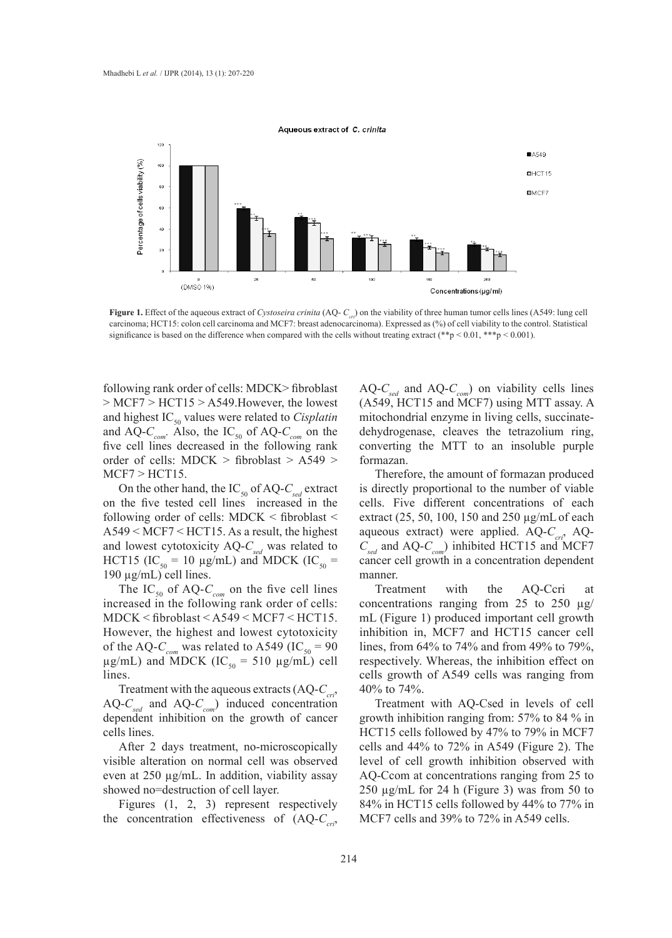

**Figure 1.** Effect of the aqueous extract of *Cystoseira crinita* (AQ-  $C_{cr}$ ) on the viability of three human tumor cells lines (A549: lung cell carcinoma; HCT15: colon cell carcinoma and MCF7: breast adenocarcinoma). Expressed as (%) of cell viability to the control. Statistical significance is based on the difference when compared with the cells without treating extract (\*\*p < 0.01, \*\*\*p < 0.001).

following rank order of cells: MDCK> fibroblast > MCF7 > HCT15 > A549.However, the lowest and highest IC<sub>50</sub> values were related to *Cisplatin* and AQ- $C_{com}$ . Also, the IC<sub>50</sub> of AQ- $C_{com}$  on the five cell lines decreased in the following rank order of cells: MDCK > fibroblast > A549 > MCF7 > HCT15.

On the other hand, the  $IC_{50}$  of AQ- $C_{\text{sed}}$  extract on the five tested cell lines increased in the following order of cells: MDCK < fibroblast < A549 < MCF7 < HCT15. As a result, the highest and lowest cytotoxicity  $AQ-C<sub>sed</sub>$  was related to HCT15 (IC<sub>50</sub> = 10 µg/mL) and MDCK (IC<sub>50</sub> = 190 µg/mL) cell lines.

The IC<sub>50</sub> of AQ- $C_{\text{com}}$  on the five cell lines increased in the following rank order of cells: MDCK < fibroblast < A549 < MCF7 < HCT15. However, the highest and lowest cytotoxicity of the AQ- $C_{com}$  was related to A549 (IC<sub>50</sub> = 90)  $\mu$ g/mL) and MDCK (IC<sub>50</sub> = 510  $\mu$ g/mL) cell lines.

Treatment with the aqueous extracts  $(AQ-C<sub>cri</sub>)$  $AQ-C<sub>sed</sub>$  and  $AQ-C<sub>com</sub>$ ) induced concentration dependent inhibition on the growth of cancer cells lines.

After 2 days treatment, no-microscopically visible alteration on normal cell was observed even at 250 µg/mL. In addition, viability assay showed no=destruction of cell layer.

Figures (1, 2, 3) represent respectively the concentration effectiveness of  $(AQ-C<sub>cri</sub>)$  AQ- $C_{\text{red}}$  and AQ- $C_{\text{com}}$ ) on viability cells lines (A549, HCT15 and MCF7) using MTT assay. A mitochondrial enzyme in living cells, succinatedehydrogenase, cleaves the tetrazolium ring, converting the MTT to an insoluble purple formazan.

Therefore, the amount of formazan produced is directly proportional to the number of viable cells. Five different concentrations of each extract (25, 50, 100, 150 and 250 µg/mLof each aqueous extract) were applied. AQ- $C_{cri}$ , AQ-*Csed* and AQ-*Ccom*) inhibited HCT15 and MCF7 cancer cell growth in a concentration dependent manner.

Treatment with the AQ-Ccri at concentrations ranging from 25 to 250  $\mu$ g/ mL (Figure 1) produced important cell growth inhibition in, MCF7 and HCT15 cancer cell lines, from 64% to 74% and from 49% to 79%, respectively. Whereas, the inhibition effect on cells growth of A549 cells was ranging from 40% to 74%.

Treatment with AQ-Csed in levels of cell growth inhibition ranging from: 57% to 84 % in HCT15 cells followed by 47% to 79% in MCF7 cells and 44% to 72% in A549 (Figure 2). The level of cell growth inhibition observed with AQ-Ccom at concentrations ranging from 25 to 250 µg/mL for 24 h (Figure 3) was from 50 to 84% in HCT15 cells followed by 44% to 77% in MCF7 cells and 39% to 72% in A549 cells.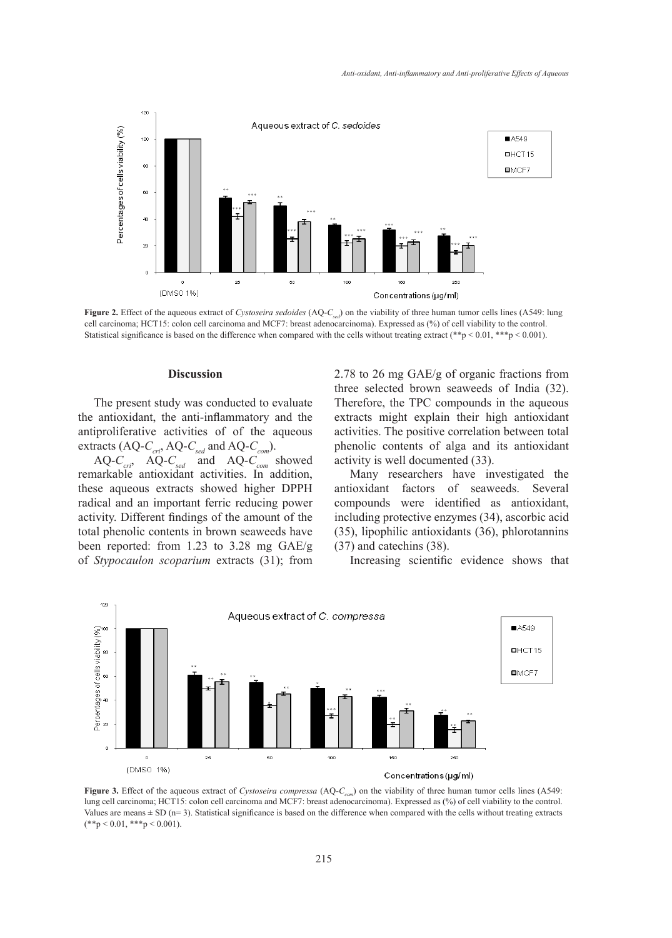

**Figure 2.** Effect of the aqueous extract of *Cystoseira sedoides* (AQ-*C<sub>sed</sub>*) on the viability of three human tumor cells lines (A549: lung cell carcinoma; HCT15: colon cell carcinoma and MCF7: breast adenocarcinoma). Expressed as (%) of cell viability to the control. Statistical significance is based on the difference when compared with the cells without treating extract (\*\*p < 0.01, \*\*\*p < 0.001).

#### **Discussion**

The present study was conducted to evaluate the antioxidant, the anti-inflammatory and the antiproliferative activities of of the aqueous extracts  $(AQ-C<sub>cri</sub>, AQ-C<sub>sed</sub>$  and  $AQ-C<sub>com</sub>$ ).

 $AQ - C_{\text{cr}i}$ ,  $AQ - C_{\text{sed}}$  and  $AQ - C_{\text{com}}$  showed remarkable antioxidant activities. In addition, these aqueous extracts showed higher DPPH radical and an important ferric reducing power activity. Different findings of the amount of the total phenolic contents in brown seaweeds have been reported: from 1.23 to 3.28 mg GAE/g of *Stypocaulon scoparium* extracts (31); from

2.78 to 26 mg GAE/g of organic fractions from three selected brown seaweeds of India (32). Therefore, the TPC compounds in the aqueous extracts might explain their high antioxidant activities. The positive correlation between total phenolic contents of alga and its antioxidant activity is well documented (33).

Many researchers have investigated the antioxidant factors of seaweeds. Several compounds were identified as antioxidant, including protective enzymes (34), ascorbic acid (35), lipophilic antioxidants (36), phlorotannins (37) and catechins (38).

Increasing scientific evidence shows that



**Figure 3.** Effect of the aqueous extract of *Cystoseira compressa* (AQ-C<sub>com</sub>) on the viability of three human tumor cells lines (A549: lung cell carcinoma; HCT15: colon cell carcinoma and MCF7: breast adenocarcinoma). Expressed as (%) of cell viability to the control. Values are means  $\pm$  SD (n= 3). Statistical significance is based on the difference when compared with the cells without treating extracts  $(**p < 0.01, **p < 0.001).$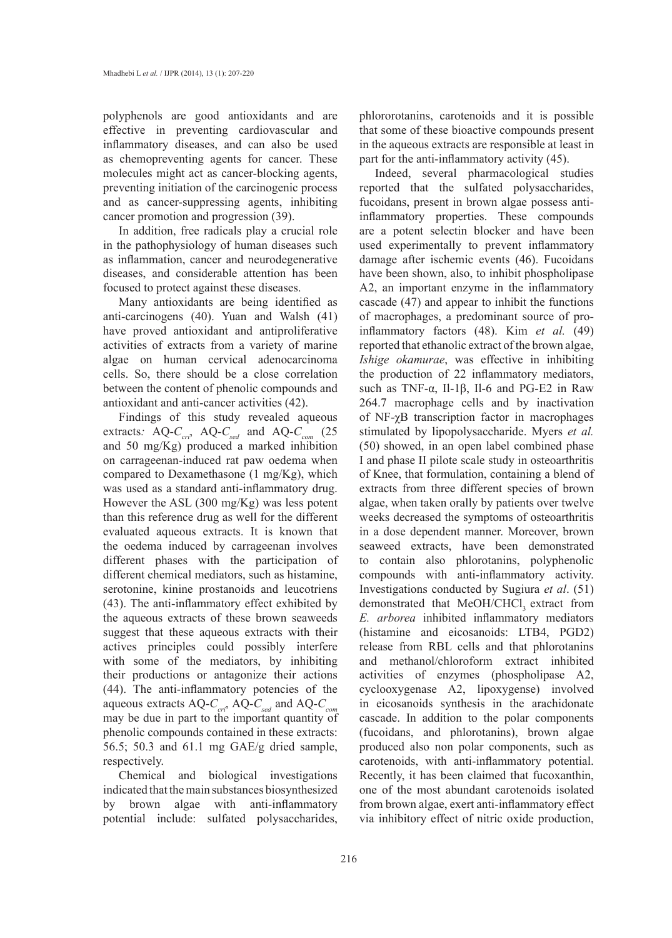polyphenols are good antioxidants and are effective in preventing cardiovascular and inflammatory diseases, and can also be used as chemopreventing agents for cancer. These molecules might act as cancer-blocking agents, preventing initiation of the carcinogenic process and as cancer-suppressing agents, inhibiting cancer promotion and progression (39).

In addition, free radicals play a crucial role in the pathophysiology of human diseases such as inflammation, cancer and neurodegenerative diseases, and considerable attention has been focused to protect against these diseases.

Many antioxidants are being identified as anti-carcinogens (40). Yuan and Walsh (41) have proved antioxidant and antiproliferative activities of extracts from a variety of marine algae on human cervical adenocarcinoma cells. So, there should be a close correlation between the content of phenolic compounds and antioxidant and anti-cancer activities (42).

Findings of this study revealed aqueous extracts: AQ- $C_{cri}$ , AQ- $C_{sed}$  and AQ- $C_{com}$  (25 and 50 mg/Kg) produced a marked inhibition on carrageenan-induced rat paw oedema when compared to Dexamethasone (1 mg/Kg), which was used as a standard anti-inflammatory drug. However the ASL (300 mg/Kg) was less potent than this reference drug as well for the different evaluated aqueous extracts. It is known that the oedema induced by carrageenan involves different phases with the participation of different chemical mediators, such as histamine, serotonine, kinine prostanoids and leucotriens (43). The anti-inflammatory effect exhibited by the aqueous extracts of these brown seaweeds suggest that these aqueous extracts with their actives principles could possibly interfere with some of the mediators, by inhibiting their productions or antagonize their actions (44). The anti-inflammatory potencies of the aqueous extracts AQ-C<sub>cri</sub>, AQ-C<sub>sed</sub> and AQ-C<sub>com</sub> may be due in part to the important quantity of phenolic compounds contained in these extracts: 56.5; 50.3 and 61.1 mg GAE/g dried sample, respectively.

Chemical and biological investigations indicated that the main substances biosynthesized by brown algae with anti-inflammatory potential include: sulfated polysaccharides, phlororotanins, carotenoids and it is possible that some of these bioactive compounds present in the aqueous extracts are responsible at least in part for the anti-inflammatory activity (45).

Indeed, several pharmacological studies reported that the sulfated polysaccharides, fucoidans, present in brown algae possess antiinflammatory properties. These compounds are a potent selectin blocker and have been used experimentally to prevent inflammatory damage after ischemic events (46). Fucoidans have been shown, also, to inhibit phospholipase A2, an important enzyme in the inflammatory cascade (47) and appear to inhibit the functions of macrophages, a predominant source of proinflammatory factors (48). Kim *et al.* (49) reported that ethanolic extract of the brown algae, *Ishige okamurae*, was effective in inhibiting the production of 22 inflammatory mediators, such as TNF- $\alpha$ , Il-1 $\beta$ , Il-6 and PG-E2 in Raw 264.7 macrophage cells and by inactivation of NF-χB transcription factor in macrophages stimulated by lipopolysaccharide. Myers *et al.* (50) showed, in an open label combined phase I and phase II pilote scale study in osteoarthritis of Knee, that formulation, containing a blend of extracts from three different species of brown algae, when taken orally by patients over twelve weeks decreased the symptoms of osteoarthritis in a dose dependent manner. Moreover, brown seaweed extracts, have been demonstrated to contain also phlorotanins, polyphenolic compounds with anti-inflammatory activity. Investigations conducted by Sugiura *et al*. (51) demonstrated that MeOH/CHCl, extract from *E. arborea* inhibited inflammatory mediators (histamine and eicosanoids: LTB4, PGD2) release from RBL cells and that phlorotanins and methanol/chloroform extract inhibited activities of enzymes (phospholipase A2, cyclooxygenase A2, lipoxygense) involved in eicosanoids synthesis in the arachidonate cascade. In addition to the polar components (fucoidans, and phlorotanins), brown algae produced also non polar components, such as carotenoids, with anti-inflammatory potential. Recently, it has been claimed that fucoxanthin, one of the most abundant carotenoids isolated from brown algae, exert anti-inflammatory effect via inhibitory effect of nitric oxide production,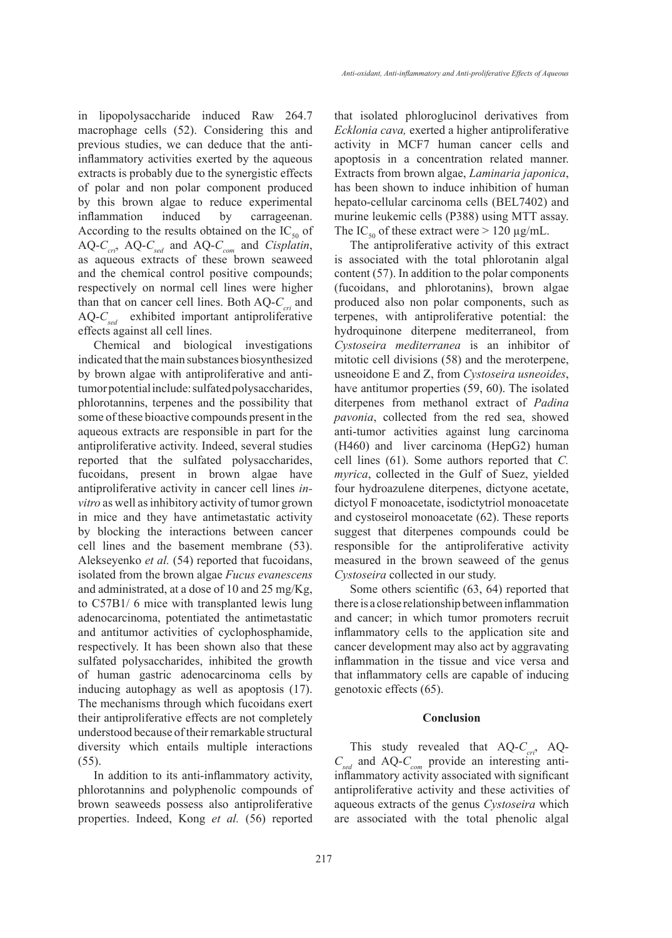in lipopolysaccharide induced Raw 264.7 macrophage cells (52). Considering this and previous studies, we can deduce that the antiinflammatory activities exerted by the aqueous extracts is probably due to the synergistic effects of polar and non polar component produced by this brown algae to reduce experimental inflammation induced by carrageenan. According to the results obtained on the  $IC_{50}$  of AQ-C<sub>cri</sub>, AQ-C<sub>sed</sub> and AQ-C<sub>com</sub> and *Cisplatin*, as aqueous extracts of these brown seaweed and the chemical control positive compounds; respectively on normal cell lines were higher than that on cancer cell lines. Both  $AQ-C<sub>cri</sub>$  and AQ-C<sub>sed</sub> exhibited important antiproliferative effects against all cell lines.

Chemical and biological investigations indicated that the main substances biosynthesized by brown algae with antiproliferative and antitumor potential include: sulfated polysaccharides, phlorotannins, terpenes and the possibility that some of these bioactive compounds present in the aqueous extracts are responsible in part for the antiproliferative activity. Indeed, several studies reported that the sulfated polysaccharides, fucoidans, present in brown algae have antiproliferative activity in cancer cell lines *invitro* as well as inhibitory activity of tumor grown in mice and they have antimetastatic activity by blocking the interactions between cancer cell lines and the basement membrane (53). Alekseyenko *et al.* (54) reported that fucoidans, isolated from the brown algae *Fucus evanescens*  and administrated, at a dose of 10 and 25 mg/Kg, to C57B1/ 6 mice with transplanted lewis lung adenocarcinoma, potentiated the antimetastatic and antitumor activities of cyclophosphamide, respectively. It has been shown also that these sulfated polysaccharides, inhibited the growth of human gastric adenocarcinoma cells by inducing autophagy as well as apoptosis (17). The mechanisms through which fucoidans exert their antiproliferative effects are not completely understood because of their remarkable structural diversity which entails multiple interactions (55).

In addition to its anti-inflammatory activity, phlorotannins and polyphenolic compounds of brown seaweeds possess also antiproliferative properties. Indeed, Kong *et al.* (56) reported that isolated phloroglucinol derivatives from *Ecklonia cava,* exerted a higher antiproliferative activity in MCF7 human cancer cells and apoptosis in a concentration related manner. Extracts from brown algae, *Laminaria japonica*, has been shown to induce inhibition of human hepato-cellular carcinoma cells (BEL7402) and murine leukemic cells (P388) using MTT assay. The IC<sub>50</sub> of these extract were  $> 120 \mu g/mL$ .

The antiproliferative activity of this extract is associated with the total phlorotanin algal content (57). In addition to the polar components (fucoidans, and phlorotanins), brown algae produced also non polar components, such as terpenes, with antiproliferative potential: the hydroquinone diterpene mediterraneol, from *Cystoseira mediterranea* is an inhibitor of mitotic cell divisions (58) and the meroterpene, usneoidone E and Z, from *Cystoseira usneoides*, have antitumor properties (59, 60). The isolated diterpenes from methanol extract of *Padina pavonia*, collected from the red sea, showed anti-tumor activities against lung carcinoma (H460) and liver carcinoma (HepG2) human cell lines (61). Some authors reported that *C. myrica*, collected in the Gulf of Suez, yielded four hydroazulene diterpenes, dictyone acetate, dictyol F monoacetate, isodictytriol monoacetate and cystoseirol monoacetate (62). These reports suggest that diterpenes compounds could be responsible for the antiproliferative activity measured in the brown seaweed of the genus *Cystoseira* collected in our study.

Some others scientific (63, 64) reported that there is a close relationship between inflammation and cancer; in which tumor promoters recruit inflammatory cells to the application site and cancer development may also act by aggravating inflammation in the tissue and vice versa and that inflammatory cells are capable of inducing genotoxic effects (65).

#### **Conclusion**

This study revealed that  $AQ-C_{cri}$ , AQ-*Csed* and AQ-*Ccom* provide an interesting antiinflammatory activity associated with significant antiproliferative activity and these activities of aqueous extracts of the genus *Cystoseira* which are associated with the total phenolic algal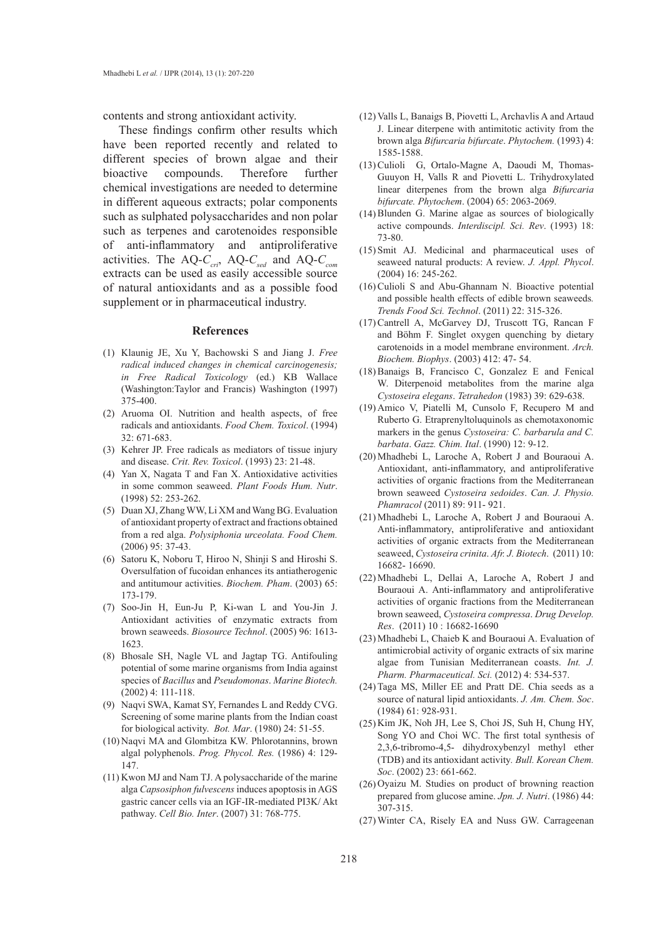contents and strong antioxidant activity.

These findings confirm other results which have been reported recently and related to different species of brown algae and their bioactive compounds. Therefore further chemical investigations are needed to determine in different aqueous extracts; polar components such as sulphated polysaccharides and non polar such as terpenes and carotenoides responsible of anti-inflammatory and antiproliferative activities. The AQ- $C_{\text{cri}}$ , AQ- $C_{\text{sed}}$  and AQ- $C_{\text{com}}$ extracts can be used as easily accessible source of natural antioxidants and as a possible food supplement or in pharmaceutical industry.

#### **References**

- Klaunig JE, Xu Y, Bachowski S and Jiang J. *Free*  (1) *radical induced changes in chemical carcinogenesis; in Free Radical Toxicology* (ed.) KB Wallace (Washington:Taylor and Francis) Washington (1997) 375-400.
- (2) Aruoma OI. Nutrition and health aspects, of free radicals and antioxidants. *Food Chem. Toxicol*. (1994) 32: 671-683.
- (3) Kehrer JP. Free radicals as mediators of tissue injury and disease. *Crit. Rev. Toxicol*. (1993) 23: 21-48.
- $(4)$  Yan X, Nagata T and Fan X. Antioxidative activities in some common seaweed. *Plant Foods Hum. Nutr*. (1998) 52: 253-262.
- (5) Duan XJ, Zhang WW, Li XM and Wang BG. Evaluation of antioxidant property of extract and fractions obtained from a red alga. *Polysiphonia urceolata. Food Chem.* (2006) 95: 37-43.
- (6) Satoru K, Noboru T, Hiroo N, Shinji S and Hiroshi S. Oversulfation of fucoidan enhances its antiatherogenic and antitumour activities. *Biochem. Pham*. (2003) 65: 173-179.
- Soo-Jin H, Eun-Ju P, Ki-wan L and You-Jin J. (7) Antioxidant activities of enzymatic extracts from brown seaweeds. *Biosource Technol*. (2005) 96: 1613- 1623.
- Bhosale SH, Nagle VL and Jagtap TG. Antifouling (8) potential of some marine organisms from India against species of *Bacillus* and *Pseudomonas*. *Marine Biotech.* (2002) 4: 111-118.
- (9) Naqvi SWA, Kamat SY, Fernandes L and Reddy CVG. Screening of some marine plants from the Indian coast for biological activity. *Bot. Mar*. (1980) 24: 51-55.
- (10) Naqvi MA and Glombitza KW. Phlorotannins, brown algal polyphenols. *Prog. Phycol. Res.* (1986) 4: 129- 147.
- $(11)$  Kwon MJ and Nam TJ. A polysaccharide of the marine alga *Capsosiphon fulvescens* induces apoptosis in AGS gastric cancer cells via an IGF-IR-mediated PI3K/ Akt pathway. *Cell Bio. Inter*. (2007) 31: 768-775.
- Valls L, Banaigs B, Piovetti L, Archavlis A and Artaud (12) J. Linear diterpene with antimitotic activity from the brown alga *Bifurcaria bifurcate*. *Phytochem.* (1993) 4: 1585-1588.
- (13) Culioli G, Ortalo-Magne A, Daoudi M, Thomas-Guuyon H, Valls R and Piovetti L. Trihydroxylated linear diterpenes from the brown alga *Bifurcaria bifurcate. Phytochem*. (2004) 65: 2063-2069.
- $(14)$  Blunden G. Marine algae as sources of biologically active compounds. *Interdiscipl. Sci. Rev*. (1993) 18: 73-80.
- $(15)$  Smit AJ. Medicinal and pharmaceutical uses of seaweed natural products: A review. *J. Appl. Phycol*. (2004) 16: 245-262.
- $(16)$  Culioli S and Abu-Ghannam N. Bioactive potential and possible health effects of edible brown seaweeds*. Trends Food Sci. Technol*. (2011) 22: 315-326.
- (17) Cantrell A, McGarvey DJ, Truscott TG, Rancan F and Böhm F. Singlet oxygen quenching by dietary carotenoids in a model membrane environment. *Arch. Biochem. Biophys*. (2003) 412: 47- 54.
- $(18)$  Banaigs B, Francisco C, Gonzalez E and Fenical W. Diterpenoid metabolites from the marine alga *Cystoseira elegans*. *Tetrahedon* (1983) 39: 629-638.
- $(19)$  Amico V, Piatelli M, Cunsolo F, Recupero M and Ruberto G. Etraprenyltoluquinols as chemotaxonomic markers in the genus *Cystoseira: C. barbarula and C. barbata*. *Gazz. Chim. Ital*. (1990) 12: 9-12.
- Mhadhebi L, Laroche A, Robert J and Bouraoui A. (20) Antioxidant, anti-inflammatory, and antiproliferative activities of organic fractions from the Mediterranean brown seaweed *Cystoseira sedoides*. *Can. J. Physio. Phamracol* (2011) 89: 911- 921.
- Mhadhebi L, Laroche A, Robert J and Bouraoui A. (21) Anti-inflammatory, antiproliferative and antioxidant activities of organic extracts from the Mediterranean seaweed, *Cystoseira crinita*. *Afr. J. Biotech*. (2011) 10: 16682- 16690.
- Mhadhebi L, Dellai A, Laroche A, Robert J and (22) Bouraoui A. Anti-inflammatory and antiproliferative activities of organic fractions from the Mediterranean brown seaweed, *Cystoseira compressa*. *Drug Develop. Res*. (2011) 10 : 16682-16690
- Mhadhebi L, Chaieb K and Bouraoui A. Evaluation of (23) antimicrobial activity of organic extracts of six marine algae from Tunisian Mediterranean coasts. *Int. J. Pharm. Pharmaceutical. Sci.* (2012) 4: 534-537.
- (24) Taga MS, Miller EE and Pratt DE. Chia seeds as a source of natural lipid antioxidants. *J. Am. Chem. Soc*. (1984) 61: 928-931.
- (25) Kim JK, Noh JH, Lee S, Choi JS, Suh H, Chung HY, Song YO and Choi WC. The first total synthesis of 2,3,6-tribromo-4,5- dihydroxybenzyl methyl ether (TDB) and its antioxidant activity*. Bull. Korean Chem. Soc*. (2002) 23: 661-662.
- $(26)$  Oyaizu M. Studies on product of browning reaction prepared from glucose amine. *Jpn. J. Nutri*. (1986) 44: 307-315.
- Winter CA, Risely EA and Nuss GW. Carrageenan (27)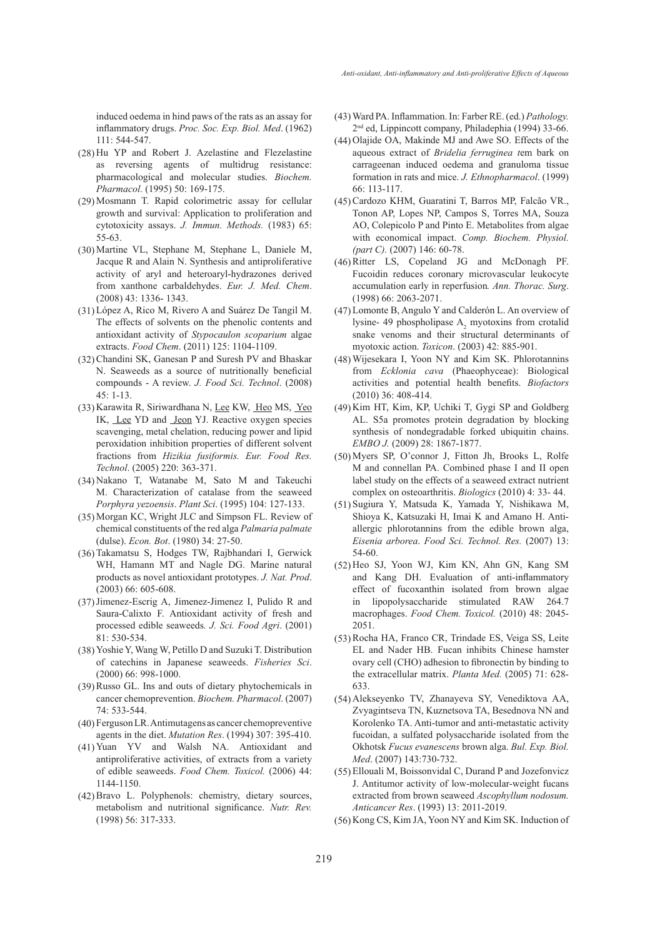induced oedema in hind paws of the rats as an assay for inflammatory drugs. *Proc. Soc. Exp. Biol. Med*. (1962) 111: 544-547.

- (28) Hu YP and Robert J. Azelastine and Flezelastine as reversing agents of multidrug resistance: pharmacological and molecular studies. *Biochem. Pharmacol.* (1995) 50: 169-175.
- $(29)$  Mosmann T. Rapid colorimetric assay for cellular growth and survival: Application to proliferation and cytotoxicity assays. *J. Immun. Methods.* (1983) 65: 55-63.
- (30) Martine VL, Stephane M, Stephane L, Daniele M, Jacque R and Alain N. Synthesis and antiproliferative activity of aryl and heteroaryl-hydrazones derived from xanthone carbaldehydes. *Eur. J. Med. Chem*. (2008) 43: 1336- 1343.
- López A, Rico M, Rivero A and Suárez De Tangil M. (31) The effects of solvents on the phenolic contents and antioxidant activity of *Stypocaulon scoparium* algae extracts. *Food Chem*. (2011) 125: 1104-1109.
- (32) Chandini SK, Ganesan P and Suresh PV and Bhaskar N. Seaweeds as a source of nutritionally beneficial compounds - A review. *J. Food Sci. Technol*. (2008) 45: 1-13.
- (33) Karawita R, Siriwardhana N, Lee KW, Heo MS, Yeo IK, Lee YD and Jeon YJ. Reactive oxygen species scavenging, metal chelation, reducing power and lipid peroxidation inhibition properties of different solvent fractions from *Hizikia fusiformis. Eur. Food Res. Technol*. (2005) 220: 363-371.
- (34) Nakano T, Watanabe M, Sato M and Takeuchi M. Characterization of catalase from the seaweed *Porphyra yezoensis*. *Plant Sci*. (1995) 104: 127-133.
- (35) Morgan KC, Wright JLC and Simpson FL. Review of chemical constituents of the red alga *Palmaria palmate* (dulse). *Econ. Bot*. (1980) 34: 27-50.
- (36) Takamatsu S, Hodges TW, Rajbhandari I, Gerwick WH, Hamann MT and Nagle DG. Marine natural products as novel antioxidant prototypes. *J. Nat. Prod*. (2003) 66: 605-608.
- $(37)$  Jimenez-Escrig A, Jimenez-Jimenez I, Pulido R and Saura-Calixto F. Antioxidant activity of fresh and processed edible seaweeds*. J. Sci. Food Agri*. (2001)  $81 \cdot 530 - 534$
- Yoshie Y, Wang W, Petillo D and Suzuki T. Distribution (38) of catechins in Japanese seaweeds. *Fisheries Sci*. (2000) 66: 998-1000.
- (39) Russo GL. Ins and outs of dietary phytochemicals in cancer chemoprevention. *Biochem. Pharmacol*. (2007) 74: 533-544.
- (40) Ferguson LR. Antimutagens as cancer chemopreventive agents in the diet. *Mutation Res*. (1994) 307: 395-410.
- Yuan YV and Walsh NA. Antioxidant and (41) antiproliferative activities, of extracts from a variety of edible seaweeds. *Food Chem. Toxicol.* (2006) 44: 1144-1150.
- Bravo L. Polyphenols: chemistry, dietary sources, (42) metabolism and nutritional significance. *Nutr. Rev.* (1998) 56: 317-333.
- Ward PA. Inflammation. In: Farber RE. (ed.) *Pathology.* (43) 2nd ed, Lippincott company, Philadephia (1994) 33-66.
- (44) Olajide OA, Makinde MJ and Awe SO. Effects of the aqueous extract of *Bridelia ferruginea t*em bark on carrageenan induced oedema and granuloma tissue formation in rats and mice. *J. Ethnopharmacol*. (1999) 66: 113-117.
- Cardozo KHM, Guaratini T, Barros MP, Falcão VR., (45) Tonon AP, Lopes NP, Campos S, Torres MA, Souza AO, Colepicolo P and Pinto E. Metabolites from algae with economical impact. *Comp. Biochem. Physiol. (part C).* (2007) 146: 60-78.
- (46) Ritter LS, Copeland JG and McDonagh PF. Fucoidin reduces coronary microvascular leukocyte accumulation early in reperfusion*. Ann. Thorac. Surg*. (1998) 66: 2063-2071.
- Lomonte B, Angulo Y and Calderón L. An overview of (47) lysine- 49 phospholipase  $A_2$  myotoxins from crotalid snake venoms and their structural determinants of myotoxic action. *Toxicon*. (2003) 42: 885-901.
- Wijesekara I, Yoon NY and Kim SK. Phlorotannins (48) from *Ecklonia cava* (Phaeophyceae): Biological activities and potential health benefits. *Biofactors* (2010) 36: 408-414.
- (49) Kim HT, Kim, KP, Uchiki T, Gygi SP and Goldberg AL. S5a promotes protein degradation by blocking synthesis of nondegradable forked ubiquitin chains. *EMBO J.* (2009) 28: 1867-1877.
- Myers SP, O'connor J, Fitton Jh, Brooks L, Rolfe (50) M and connellan PA. Combined phase I and II open label study on the effects of a seaweed extract nutrient complex on osteoarthritis. *Biologics* (2010) 4: 33- 44.
- (51) Sugiura Y, Matsuda K, Yamada Y, Nishikawa M, Shioya K, Katsuzaki H, Imai K and Amano H. Antiallergic phlorotannins from the edible brown alga, *Eisenia arborea*. *Food Sci. Technol. Res.* (2007) 13: 54-60.
- (52) Heo SJ, Yoon WJ, Kim KN, Ahn GN, Kang SM and Kang DH. Evaluation of anti-inflammatory effect of fucoxanthin isolated from brown algae in lipopolysaccharide stimulated RAW 264.7 macrophages. *Food Chem. Toxicol.* (2010) 48: 2045- 2051.
- (53) Rocha HA, Franco CR, Trindade ES, Veiga SS, Leite EL and Nader HB. Fucan inhibits Chinese hamster ovary cell (CHO) adhesion to fibronectin by binding to the extracellular matrix. *Planta Med.* (2005) 71: 628- 633.
- Alekseyenko TV, Zhanayeva SY, Venediktova AA, (54) Zvyagintseva TN, Kuznetsova TA, Besednova NN and Korolenko TA. Anti-tumor and anti-metastatic activity fucoidan, a sulfated polysaccharide isolated from the Okhotsk *Fucus evanescens* brown alga. *Bul. Exp. Biol. Med*. (2007) 143:730-732.
- Ellouali M, Boissonvidal C, Durand P and Jozefonvicz (55) J. Antitumor activity of low-molecular-weight fucans extracted from brown seaweed *Ascophyllum nodosum. Anticancer Res*. (1993) 13: 2011-2019.
- (56) Kong CS, Kim JA, Yoon NY and Kim SK. Induction of